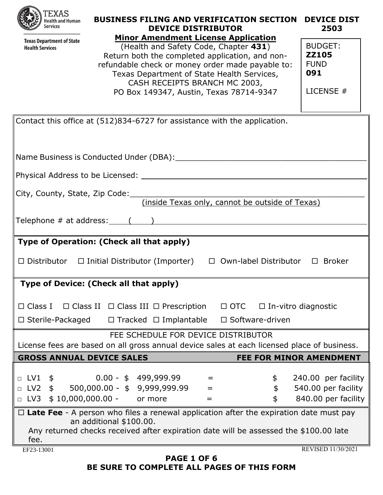|  | <b>XAS</b><br><b>Health and Human</b><br><b>Services</b> |
|--|----------------------------------------------------------|
|--|----------------------------------------------------------|

| <b>CALCORATION</b><br><b>Services</b> | <b>DEVICE DISTRIBUTOR</b>                        | 2503           |
|---------------------------------------|--------------------------------------------------|----------------|
| <b>Texas Department of State</b>      | <b>Minor Amendment License Application</b>       |                |
| <b>Health Services</b>                | (Health and Safety Code, Chapter 431)            | <b>BUDGET:</b> |
|                                       | Return both the completed application, and non-  | <b>ZZ105</b>   |
|                                       | refundable check or money order made payable to: | <b>FUND</b>    |
|                                       | Texas Department of State Health Services,       | 091            |
|                                       | CASH RECEIPTS BRANCH MC 2003,                    |                |
|                                       | PO Box 149347, Austin, Texas 78714-9347          | LICENSE $#$    |
|                                       |                                                  |                |

**BUSINESS FILING AND VERIFICATION SECTION DEVICE DIST**

| Contact this office at (512)834-6727 for assistance with the application.                           |
|-----------------------------------------------------------------------------------------------------|
|                                                                                                     |
|                                                                                                     |
|                                                                                                     |
|                                                                                                     |
|                                                                                                     |
|                                                                                                     |
| City, County, State, Zip Code: <u>(inside Texas only, cannot be outside of Texas)</u>               |
|                                                                                                     |
|                                                                                                     |
|                                                                                                     |
| Type of Operation: (Check all that apply)                                                           |
|                                                                                                     |
| $\Box$ Distributor $\Box$ Initial Distributor (Importer) $\Box$ Own-label Distributor $\Box$ Broker |
|                                                                                                     |
| Type of Device: (Check all that apply)                                                              |
|                                                                                                     |
| □ Class I □ Class II □ Class III □ Prescription □ OTC □ In-vitro diagnostic                         |
| $\Box$ Sterile-Packaged $\Box$ Tracked $\Box$ Implantable $\Box$ Software-driven                    |
| FEE SCHEDULE FOR DEVICE DISTRIBUTOR                                                                 |
| License fees are based on all gross annual device sales at each licensed place of business.         |
| <b>GROSS ANNUAL DEVICE SALES</b><br><b>FEE FOR MINOR AMENDMENT</b>                                  |
|                                                                                                     |
| □ LV1 \$     0.00 - \$ 499,999.99<br>240.00 per facility<br>$\frac{1}{2}$<br>$=$                    |
| $\frac{1}{2}$<br>□ LV2 \$ 500,000.00 - \$ 9,999,999.99<br>540.00 per facility<br>$=$                |
| $$10,000,000.00 -$<br>840.00 per facility<br>$\Box$ LV3<br>\$<br>or more<br>=                       |
| $\Box$ Late Fee - A person who files a renewal application after the expiration date must pay       |
| an additional \$100.00.                                                                             |
| Any returned checks received after expiration date will be assessed the \$100.00 late               |
| fee.<br>REVISED 11/30/2021                                                                          |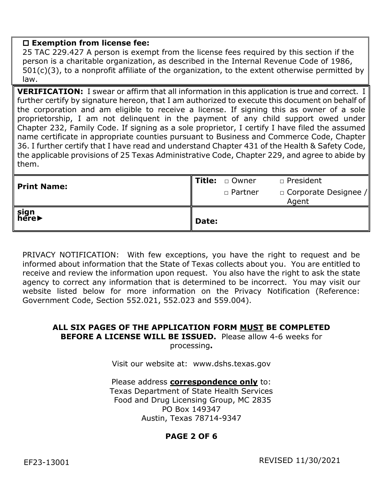### **Exemption from license fee:**

25 TAC 229.427 A person is exempt from the license fees required by this section if the person is a charitable organization, as described in the Internal Revenue Code of 1986, 501(c)(3), to a nonprofit affiliate of the organization, to the extent otherwise permitted by law.

**VERIFICATION:** I swear or affirm that all information in this application is true and correct. I further certify by signature hereon, that I am authorized to execute this document on behalf of the corporation and am eligible to receive a license. If signing this as owner of a sole proprietorship, I am not delinquent in the payment of any child support owed under Chapter 232, Family Code. If signing as a sole proprietor, I certify I have filed the assumed name certificate in appropriate counties pursuant to Business and Commerce Code, Chapter 36. I further certify that I have read and understand Chapter 431 of the Health & Safety Code, the applicable provisions of 25 Texas Administrative Code, Chapter 229, and agree to abide by them.

| sign<br>here       | Date: |                  |                                      |
|--------------------|-------|------------------|--------------------------------------|
| <b>Print Name:</b> |       | □ Partner        | $\Box$ Corporate Designee /<br>Agent |
|                    |       | I Title: a Owner | □ President                          |

PRIVACY NOTIFICATION: With few exceptions, you have the right to request and be informed about information that the State of Texas collects about you. You are entitled to receive and review the information upon request. You also have the right to ask the state agency to correct any information that is determined to be incorrect. You may visit our website listed below for more information on the Privacy Notification (Reference: Government Code, Section 552.021, 552.023 and 559.004).

#### **ALL SIX PAGES OF THE APPLICATION FORM MUST BE COMPLETED BEFORE A LICENSE WILL BE ISSUED.** Please allow 4-6 weeks for processing**.**

Visit our website at: www.dshs.texas.gov

Please address **correspondence only** to: Texas Department of State Health Services Food and Drug Licensing Group, MC 2835 PO Box 149347 Austin, Texas 78714-9347

# **PAGE 2 OF 6**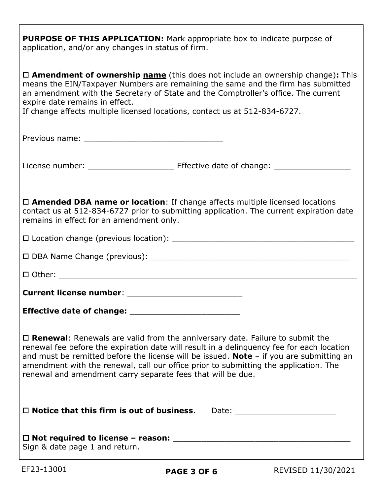**PURPOSE OF THIS APPLICATION:** Mark appropriate box to indicate purpose of application, and/or any changes in status of firm.

| $\Box$ <b>Amendment of ownership name</b> (this does not include an ownership change): This<br>means the EIN/Taxpayer Numbers are remaining the same and the firm has submitted<br>an amendment with the Secretary of State and the Comptroller's office. The current<br>expire date remains in effect.<br>If change affects multiple licensed locations, contact us at 512-834-6727.                                                       |
|---------------------------------------------------------------------------------------------------------------------------------------------------------------------------------------------------------------------------------------------------------------------------------------------------------------------------------------------------------------------------------------------------------------------------------------------|
|                                                                                                                                                                                                                                                                                                                                                                                                                                             |
|                                                                                                                                                                                                                                                                                                                                                                                                                                             |
| $\Box$ Amended DBA name or location: If change affects multiple licensed locations<br>contact us at 512-834-6727 prior to submitting application. The current expiration date<br>remains in effect for an amendment only.                                                                                                                                                                                                                   |
|                                                                                                                                                                                                                                                                                                                                                                                                                                             |
|                                                                                                                                                                                                                                                                                                                                                                                                                                             |
|                                                                                                                                                                                                                                                                                                                                                                                                                                             |
|                                                                                                                                                                                                                                                                                                                                                                                                                                             |
|                                                                                                                                                                                                                                                                                                                                                                                                                                             |
| $\Box$ <b>Renewal:</b> Renewals are valid from the anniversary date. Failure to submit the<br>renewal fee before the expiration date will result in a delinquency fee for each location<br>and must be remitted before the license will be issued. Note $-$ if you are submitting an<br>amendment with the renewal, call our office prior to submitting the application. The<br>renewal and amendment carry separate fees that will be due. |
| $\Box$ Notice that this firm is out of business.<br>Date: __________________________                                                                                                                                                                                                                                                                                                                                                        |
| Sign & date page 1 and return.                                                                                                                                                                                                                                                                                                                                                                                                              |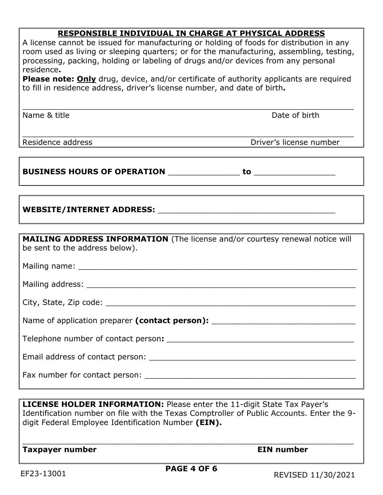## **RESPONSIBLE INDIVIDUAL IN CHARGE AT PHYSICAL ADDRESS**

| A license cannot be issued for manufacturing or holding of foods for distribution in any<br>room used as living or sleeping quarters; or for the manufacturing, assembling, testing,<br>processing, packing, holding or labeling of drugs and/or devices from any personal<br>residence.<br><b>Please note: Only</b> drug, device, and/or certificate of authority applicants are required<br>to fill in residence address, driver's license number, and date of birth. |                         |  |  |
|-------------------------------------------------------------------------------------------------------------------------------------------------------------------------------------------------------------------------------------------------------------------------------------------------------------------------------------------------------------------------------------------------------------------------------------------------------------------------|-------------------------|--|--|
| Name & title                                                                                                                                                                                                                                                                                                                                                                                                                                                            | Date of birth           |  |  |
| Residence address                                                                                                                                                                                                                                                                                                                                                                                                                                                       | Driver's license number |  |  |
|                                                                                                                                                                                                                                                                                                                                                                                                                                                                         |                         |  |  |
|                                                                                                                                                                                                                                                                                                                                                                                                                                                                         |                         |  |  |
| MAILING ADDRESS INFORMATION (The license and/or courtesy renewal notice will<br>be sent to the address below).                                                                                                                                                                                                                                                                                                                                                          |                         |  |  |
|                                                                                                                                                                                                                                                                                                                                                                                                                                                                         |                         |  |  |
|                                                                                                                                                                                                                                                                                                                                                                                                                                                                         |                         |  |  |
|                                                                                                                                                                                                                                                                                                                                                                                                                                                                         |                         |  |  |
| Name of application preparer (contact person): _________________________________                                                                                                                                                                                                                                                                                                                                                                                        |                         |  |  |
|                                                                                                                                                                                                                                                                                                                                                                                                                                                                         |                         |  |  |
|                                                                                                                                                                                                                                                                                                                                                                                                                                                                         |                         |  |  |
|                                                                                                                                                                                                                                                                                                                                                                                                                                                                         |                         |  |  |

**LICENSE HOLDER INFORMATION:** Please enter the 11-digit State Tax Payer's Identification number on file with the Texas Comptroller of Public Accounts. Enter the 9 digit Federal Employee Identification Number **(EIN).**

\_\_\_\_\_\_\_\_\_\_\_\_\_\_\_\_\_\_\_\_\_\_\_\_\_\_\_\_\_\_\_\_\_\_\_\_\_\_\_\_\_\_\_\_\_\_\_\_\_\_\_\_\_\_\_\_\_\_\_\_\_\_\_\_\_\_\_\_\_

**Taxpayer number Community Community Community Community Community Community Community Community Community Community**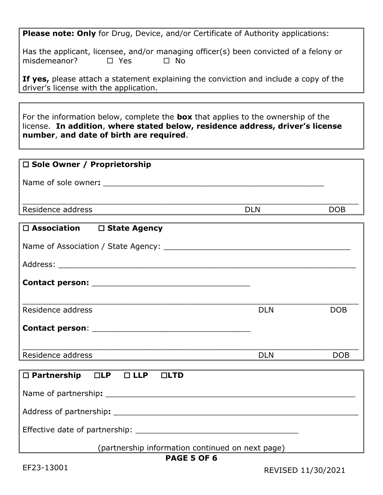**Please note: Only** for Drug, Device, and/or Certificate of Authority applications:

Has the applicant, licensee, and/or managing officer(s) been convicted of a felony or misdemeanor?  $\square$  Yes  $\square$  No

**If yes,** please attach a statement explaining the conviction and include a copy of the driver's license with the application.

For the information below, complete the **box** that applies to the ownership of the license. **In addition**, **where stated below, residence address, driver's license number**, **and date of birth are required**.

| $\Box$ Sole Owner / Proprietorship |            |     |
|------------------------------------|------------|-----|
| Name of sole owner:                |            |     |
| Residence address                  | <b>DLN</b> | DOB |
|                                    |            |     |

| $\Box$ Association $\Box$ State Agency         |            |            |
|------------------------------------------------|------------|------------|
|                                                |            |            |
|                                                |            |            |
|                                                |            |            |
|                                                |            |            |
| Residence address                              | <b>DLN</b> | <b>DOB</b> |
|                                                |            |            |
|                                                |            |            |
| Residence address                              | <b>DLN</b> | <b>DOB</b> |
|                                                |            |            |
| $\Box$ Partnership $\Box$ LP $\Box$ LLP<br>LID |            |            |
|                                                |            |            |
|                                                |            |            |
|                                                |            |            |

(partnership information continued on next page)

## **PAGE 5 OF 6**